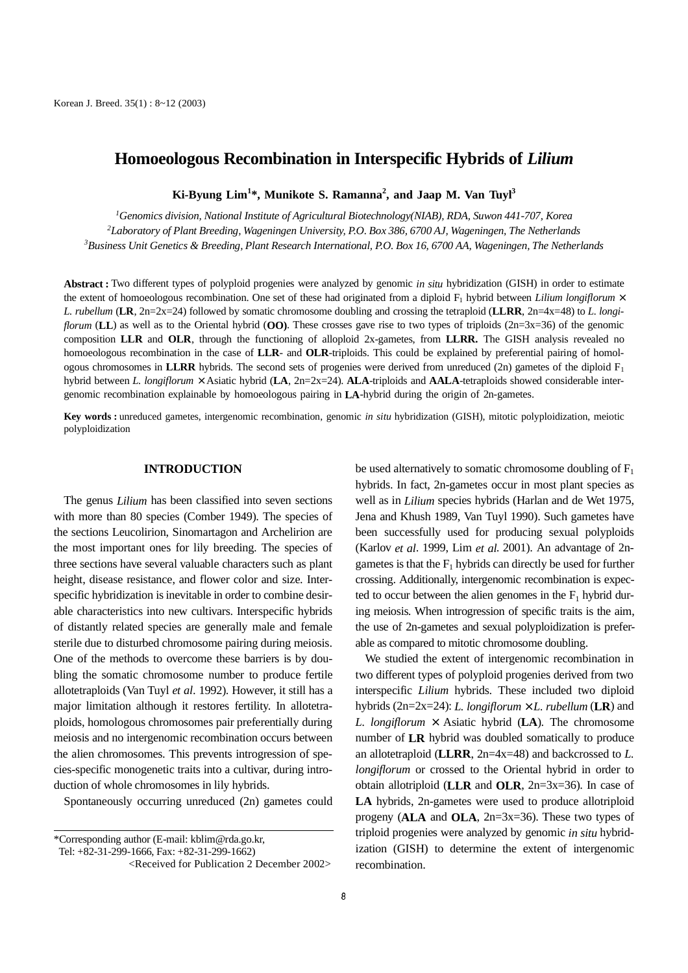# **Homoeologous Recombination in Interspecific Hybrids of** *Lilium*

**Ki-Byung Lim<sup>1</sup> \*, Munikote S. Ramanna<sup>2</sup> , and Jaap M. Van Tuyl3**

*1 Genomics division, National Institute of Agricultural Biotechnology(NIAB), RDA, Suwon 441-707, Korea 2 Laboratory of Plant Breeding, Wageningen University, P.O. Box 386, 6700 AJ, Wageningen, The Netherlands 3 Business Unit Genetics & Breeding, Plant Research International, P.O. Box 16, 6700 AA, Wageningen, The Netherlands*

**Abstract :** Two different types of polyploid progenies were analyzed by genomic *in situ* hybridization (GISH) in order to estimate the extent of homoeologous recombination. One set of these had originated from a diploid  $F_1$  hybrid between *Lilium longiflorum*  $\times$ *L. rubellum* (**LR**, 2n=2x=24) followed by somatic chromosome doubling and crossing the tetraploid (**LLRR**, 2n=4x=48) to *L. longiflorum* (**LL**) as well as to the Oriental hybrid (**OO**). These crosses gave rise to two types of triploids (2n=3x=36) of the genomic composition **LLR** and **OLR**, through the functioning of alloploid 2x-gametes, from **LLRR.** The GISH analysis revealed no homoeologous recombination in the case of **LLR**- and **OLR**-triploids. This could be explained by preferential pairing of homologous chromosomes in **LLRR** hybrids. The second sets of progenies were derived from unreduced (2n) gametes of the diploid  $F_1$ hybrid between *L. longiflorum* × Asiatic hybrid (**LA**, 2n=2x=24). **ALA**-triploids and **AALA**-tetraploids showed considerable intergenomic recombination explainable by homoeologous pairing in **LA**-hybrid during the origin of 2n-gametes.

**Key words :** unreduced gametes, intergenomic recombination, genomic *in situ* hybridization (GISH), mitotic polyploidization, meiotic polyploidization

#### **INTRODUCTION**

The genus *Lilium* has been classified into seven sections with more than 80 species (Comber 1949). The species of the sections Leucolirion, Sinomartagon and Archelirion are the most important ones for lily breeding. The species of three sections have several valuable characters such as plant height, disease resistance, and flower color and size. Interspecific hybridization is inevitable in order to combine desirable characteristics into new cultivars. Interspecific hybrids of distantly related species are generally male and female sterile due to disturbed chromosome pairing during meiosis. One of the methods to overcome these barriers is by doubling the somatic chromosome number to produce fertile allotetraploids (Van Tuyl *et al*. 1992). However, it still has a major limitation although it restores fertility. In allotetraploids, homologous chromosomes pair preferentially during meiosis and no intergenomic recombination occurs between the alien chromosomes. This prevents introgression of species-specific monogenetic traits into a cultivar, during introduction of whole chromosomes in lily hybrids.

Spontaneously occurring unreduced (2n) gametes could

Tel: +82-31-299-1666, Fax: +82-31-299-1662)

be used alternatively to somatic chromosome doubling of  $F_1$ hybrids. In fact, 2n-gametes occur in most plant species as well as in *Lilium* species hybrids (Harlan and de Wet 1975, Jena and Khush 1989, Van Tuyl 1990). Such gametes have been successfully used for producing sexual polyploids (Karlov *et al*. 1999, Lim *et al*. 2001). An advantage of 2ngametes is that the  $F_1$  hybrids can directly be used for further crossing. Additionally, intergenomic recombination is expected to occur between the alien genomes in the  $F_1$  hybrid during meiosis. When introgression of specific traits is the aim, the use of 2n-gametes and sexual polyploidization is preferable as compared to mitotic chromosome doubling.

We studied the extent of intergenomic recombination in two different types of polyploid progenies derived from two interspecific *Lilium* hybrids. These included two diploid hybrids  $(2n=2x=24)$ : *L. longiflorum*  $\times$  *L. rubellum* (**LR**) and *L. longiflorum*  $\times$  Asiatic hybrid (**LA**). The chromosome number of **LR** hybrid was doubled somatically to produce an allotetraploid (**LLRR**, 2n=4x=48) and backcrossed to *L. longiflorum* or crossed to the Oriental hybrid in order to obtain allotriploid (**LLR** and **OLR**, 2n=3x=36). In case of **LA** hybrids, 2n-gametes were used to produce allotriploid progeny (**ALA** and **OLA**, 2n=3x=36). These two types of triploid progenies were analyzed by genomic *in situ* hybridization (GISH) to determine the extent of intergenomic recombination.

<sup>\*</sup>Corresponding author (E-mail: kblim@rda.go.kr,

<sup>&</sup>lt;Received for Publication 2 December 2002>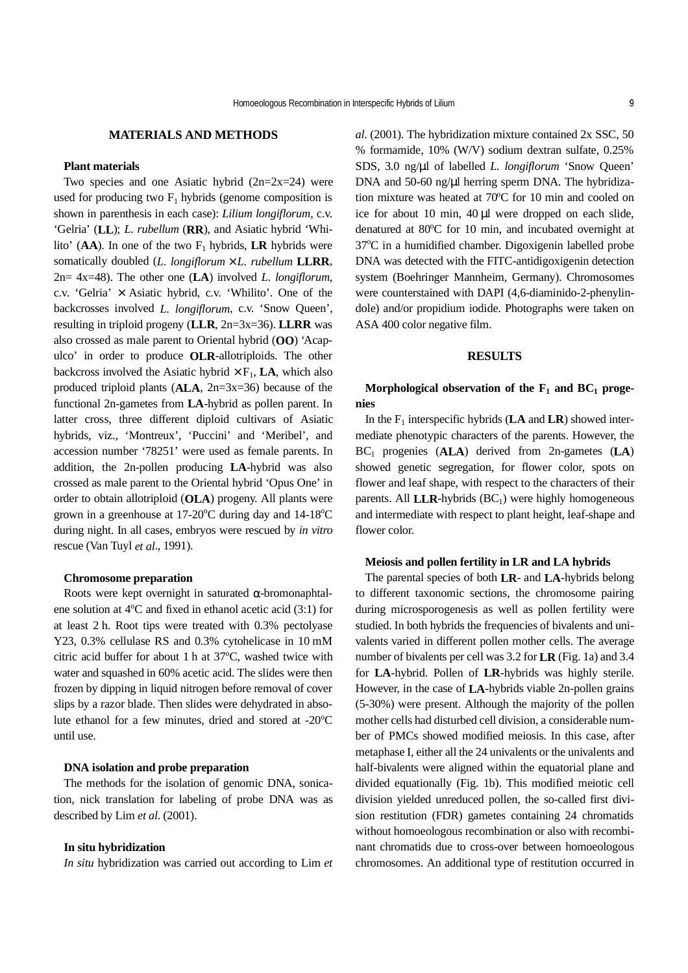### **MATERIALS AND METHODS**

#### **Plant materials**

Two species and one Asiatic hybrid  $(2n=2x=24)$  were used for producing two  $F_1$  hybrids (genome composition is shown in parenthesis in each case): *Lilium longiflorum*, c.v. 'Gelria' (**LL**); *L. rubellum* (**RR**), and Asiatic hybrid 'Whilito'  $(AA)$ . In one of the two  $F_1$  hybrids, **LR** hybrids were somatically doubled (*L. longiflorum* × *L. rubellum* **LLRR**, 2n= 4x=48). The other one (**LA**) involved *L. longiflorum*, c.v. 'Gelria'  $\times$  Asiatic hybrid, c.v. 'Whilito'. One of the backcrosses involved *L. longiflorum*, c.v. 'Snow Queen', resulting in triploid progeny (**LLR**, 2n=3x=36). **LLRR** was also crossed as male parent to Oriental hybrid (**OO**) 'Acapulco' in order to produce **OLR**-allotriploids. The other backcross involved the Asiatic hybrid  $\times$  F<sub>1</sub>, **LA**, which also produced triploid plants (**ALA**, 2n=3x=36) because of the functional 2n-gametes from **LA**-hybrid as pollen parent. In latter cross, three different diploid cultivars of Asiatic hybrids, viz., 'Montreux', 'Puccini' and 'Meribel', and accession number '78251' were used as female parents. In addition, the 2n-pollen producing **LA**-hybrid was also crossed as male parent to the Oriental hybrid 'Opus One' in order to obtain allotriploid (**OLA**) progeny. All plants were grown in a greenhouse at  $17{\text -}20^{\circ}\text{C}$  during day and  $14{\text -}18^{\circ}\text{C}$ during night. In all cases, embryos were rescued by *in vitro* rescue (Van Tuyl *et al*., 1991).

#### **Chromosome preparation**

Roots were kept overnight in saturated α-bromonaphtalene solution at 4°C and fixed in ethanol acetic acid (3:1) for at least 2 h. Root tips were treated with 0.3% pectolyase Y23, 0.3% cellulase RS and 0.3% cytohelicase in 10 mM citric acid buffer for about 1 h at 37°C, washed twice with water and squashed in 60% acetic acid. The slides were then frozen by dipping in liquid nitrogen before removal of cover slips by a razor blade. Then slides were dehydrated in absolute ethanol for a few minutes, dried and stored at -20°C until use.

#### **DNA isolation and probe preparation**

The methods for the isolation of genomic DNA, sonication, nick translation for labeling of probe DNA was as described by Lim *et al*. (2001).

### **In situ hybridization**

*In situ* hybridization was carried out according to Lim *et*

*al*. (2001). The hybridization mixture contained 2x SSC, 50 % formamide, 10% (W/V) sodium dextran sulfate, 0.25% SDS, 3.0 ng/µl of labelled *L. longiflorum* 'Snow Queen' DNA and 50-60 ng/µl herring sperm DNA. The hybridization mixture was heated at 70°C for 10 min and cooled on ice for about 10 min, 40 µl were dropped on each slide, denatured at 80°C for 10 min, and incubated overnight at 37°C in a humidified chamber. Digoxigenin labelled probe DNA was detected with the FITC-antidigoxigenin detection system (Boehringer Mannheim, Germany). Chromosomes were counterstained with DAPI (4,6-diaminido-2-phenylindole) and/or propidium iodide. Photographs were taken on ASA 400 color negative film.

### **RESULTS**

## Morphological observation of the F<sub>1</sub> and BC<sub>1</sub> proge**nies**

In the  $F_1$  interspecific hybrids ( $LA$  and  $LR$ ) showed intermediate phenotypic characters of the parents. However, the BC1 progenies (**ALA**) derived from 2n-gametes (**LA**) showed genetic segregation, for flower color, spots on flower and leaf shape, with respect to the characters of their parents. All  $LLR$ -hybrids  $(BC_1)$  were highly homogeneous and intermediate with respect to plant height, leaf-shape and flower color.

#### **Meiosis and pollen fertility in LR and LA hybrids**

The parental species of both **LR**- and **LA**-hybrids belong to different taxonomic sections, the chromosome pairing during microsporogenesis as well as pollen fertility were studied. In both hybrids the frequencies of bivalents and univalents varied in different pollen mother cells. The average number of bivalents per cell was 3.2 for **LR** (Fig. 1a) and 3.4 for **LA**-hybrid. Pollen of **LR**-hybrids was highly sterile. However, in the case of **LA**-hybrids viable 2n-pollen grains (5-30%) were present. Although the majority of the pollen mother cells had disturbed cell division, a considerable number of PMCs showed modified meiosis. In this case, after metaphase I, either all the 24 univalents or the univalents and half-bivalents were aligned within the equatorial plane and divided equationally (Fig. 1b). This modified meiotic cell division yielded unreduced pollen, the so-called first division restitution (FDR) gametes containing 24 chromatids without homoeologous recombination or also with recombinant chromatids due to cross-over between homoeologous chromosomes. An additional type of restitution occurred in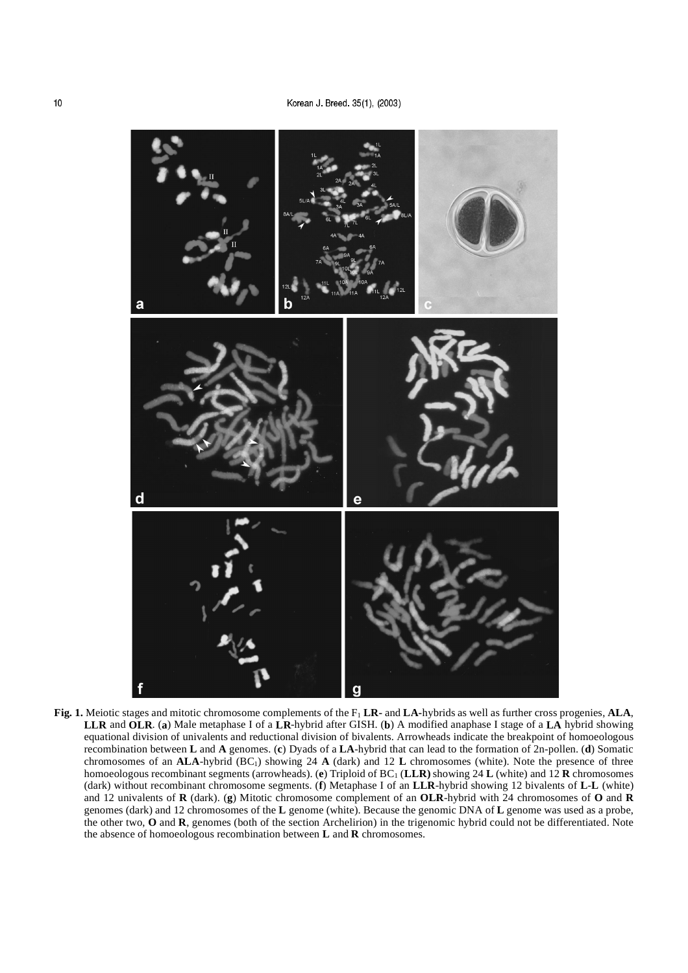

**Fig. 1.** Meiotic stages and mitotic chromosome complements of the F1 **LR-** and **LA-**hybrids as well as further cross progenies, **ALA**, **LLR** and **OLR**. (**a**) Male metaphase I of a **LR**-hybrid after GISH. (**b**) A modified anaphase I stage of a **LA** hybrid showing equational division of univalents and reductional division of bivalents. Arrowheads indicate the breakpoint of homoeologous recombination between **L** and **A** genomes. (**c**) Dyads of a **LA**-hybrid that can lead to the formation of 2n-pollen. (**d**) Somatic chromosomes of an **ALA**-hybrid (BC<sub>1</sub>) showing 24 **A** (dark) and 12 **L** chromosomes (white). Note the presence of three homoeologous recombinant segments (arrowheads). (**e**) Triploid of BC1 (**LLR)** showing 24 **L** (white) and 12 **R** chromosomes (dark) without recombinant chromosome segments. (**f**) Metaphase I of an **LLR**-hybrid showing 12 bivalents of **L**-**L** (white) and 12 univalents of **R** (dark). (**g**) Mitotic chromosome complement of an **OLR**-hybrid with 24 chromosomes of **O** and **R** genomes (dark) and 12 chromosomes of the **L** genome (white). Because the genomic DNA of **L** genome was used as a probe, the other two, **O** and **R**, genomes (both of the section Archelirion) in the trigenomic hybrid could not be differentiated. Note the absence of homoeologous recombination between **L** and **R** chromosomes.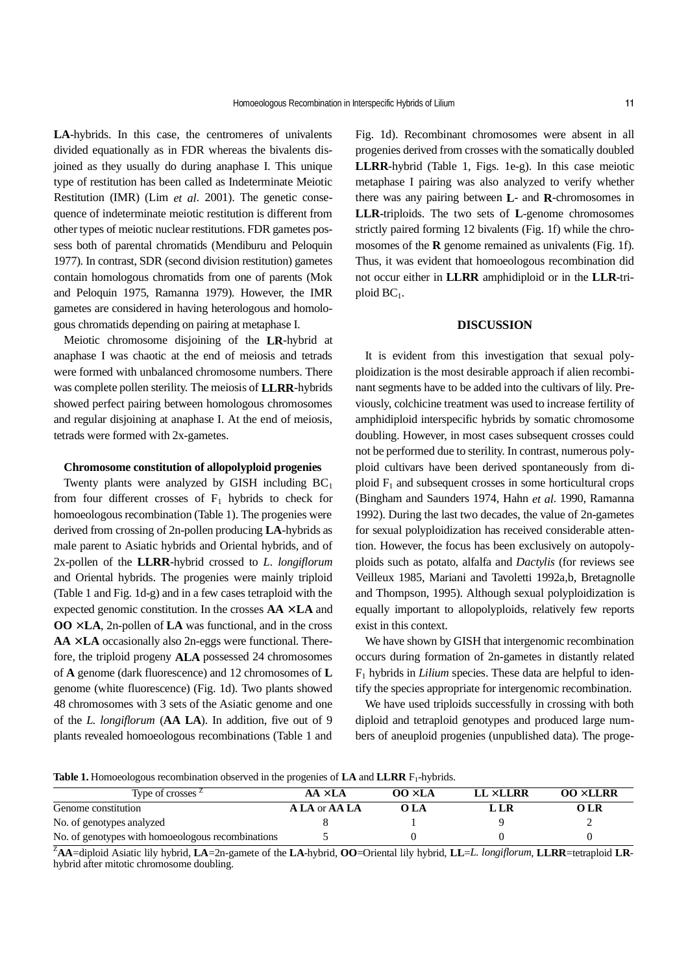**LA**-hybrids. In this case, the centromeres of univalents divided equationally as in FDR whereas the bivalents disjoined as they usually do during anaphase I. This unique type of restitution has been called as Indeterminate Meiotic Restitution (IMR) (Lim *et al*. 2001). The genetic consequence of indeterminate meiotic restitution is different from other types of meiotic nuclear restitutions. FDR gametes possess both of parental chromatids (Mendiburu and Peloquin 1977). In contrast, SDR (second division restitution) gametes contain homologous chromatids from one of parents (Mok and Peloquin 1975, Ramanna 1979). However, the IMR gametes are considered in having heterologous and homologous chromatids depending on pairing at metaphase I.

Meiotic chromosome disjoining of the **LR**-hybrid at anaphase I was chaotic at the end of meiosis and tetrads were formed with unbalanced chromosome numbers. There was complete pollen sterility. The meiosis of **LLRR**-hybrids showed perfect pairing between homologous chromosomes and regular disjoining at anaphase I. At the end of meiosis, tetrads were formed with 2x-gametes.

#### **Chromosome constitution of allopolyploid progenies**

Twenty plants were analyzed by GISH including  $BC_1$ from four different crosses of  $F_1$  hybrids to check for homoeologous recombination (Table 1). The progenies were derived from crossing of 2n-pollen producing **LA**-hybrids as male parent to Asiatic hybrids and Oriental hybrids, and of 2x-pollen of the **LLRR**-hybrid crossed to *L. longiflorum* and Oriental hybrids. The progenies were mainly triploid (Table 1 and Fig. 1d-g) and in a few cases tetraploid with the expected genomic constitution. In the crosses **AA** × **LA** and  $\overline{OO} \times \overline{LA}$ , 2n-pollen of  $\overline{LA}$  was functional, and in the cross  $AA \times LA$  occasionally also 2n-eggs were functional. Therefore, the triploid progeny **ALA** possessed 24 chromosomes of **A** genome (dark fluorescence) and 12 chromosomes of **L** genome (white fluorescence) (Fig. 1d). Two plants showed 48 chromosomes with 3 sets of the Asiatic genome and one of the *L. longiflorum* (**AA LA**). In addition, five out of 9 plants revealed homoeologous recombinations (Table 1 and

Fig. 1d). Recombinant chromosomes were absent in all progenies derived from crosses with the somatically doubled **LLRR**-hybrid (Table 1, Figs. 1e-g). In this case meiotic metaphase I pairing was also analyzed to verify whether there was any pairing between **L**- and **R**-chromosomes in **LLR-**triploids. The two sets of **L**-genome chromosomes strictly paired forming 12 bivalents (Fig. 1f) while the chromosomes of the **R** genome remained as univalents (Fig. 1f). Thus, it was evident that homoeologous recombination did not occur either in **LLRR** amphidiploid or in the **LLR**-triploid  $BC_1$ .

#### **DISCUSSION**

It is evident from this investigation that sexual polyploidization is the most desirable approach if alien recombinant segments have to be added into the cultivars of lily. Previously, colchicine treatment was used to increase fertility of amphidiploid interspecific hybrids by somatic chromosome doubling. However, in most cases subsequent crosses could not be performed due to sterility. In contrast, numerous polyploid cultivars have been derived spontaneously from diploid  $F_1$  and subsequent crosses in some horticultural crops (Bingham and Saunders 1974, Hahn *et al*. 1990, Ramanna 1992). During the last two decades, the value of 2n-gametes for sexual polyploidization has received considerable attention. However, the focus has been exclusively on autopolyploids such as potato, alfalfa and *Dactylis* (for reviews see Veilleux 1985, Mariani and Tavoletti 1992a,b, Bretagnolle and Thompson, 1995). Although sexual polyploidization is equally important to allopolyploids, relatively few reports exist in this context.

We have shown by GISH that intergenomic recombination occurs during formation of 2n-gametes in distantly related F1 hybrids in *Lilium* species. These data are helpful to identify the species appropriate for intergenomic recombination.

We have used triploids successfully in crossing with both diploid and tetraploid genotypes and produced large numbers of aneuploid progenies (unpublished data). The proge-

Table 1. Homoeologous recombination observed in the progenies of LA and LLRR F<sub>1</sub>-hybrids.

| Type of crosses <sup>2</sup>                      | $AA \times LA$ | $OO \times LA$ | $LL \times LLRR$ | $OO \times LLRR$ |
|---------------------------------------------------|----------------|----------------|------------------|------------------|
| Genome constitution                               | A LA or AA LA  | O LA           | LR               | O LR             |
| No. of genotypes analyzed                         |                |                |                  |                  |
| No. of genotypes with homoeologous recombinations |                |                |                  |                  |

Z **AA**=diploid Asiatic lily hybrid, **LA**=2n-gamete of the **LA**-hybrid, **OO**=Oriental lily hybrid, **LL**=*L. longiflorum*, **LLRR**=tetraploid **LR**hybrid after mitotic chromosome doubling.